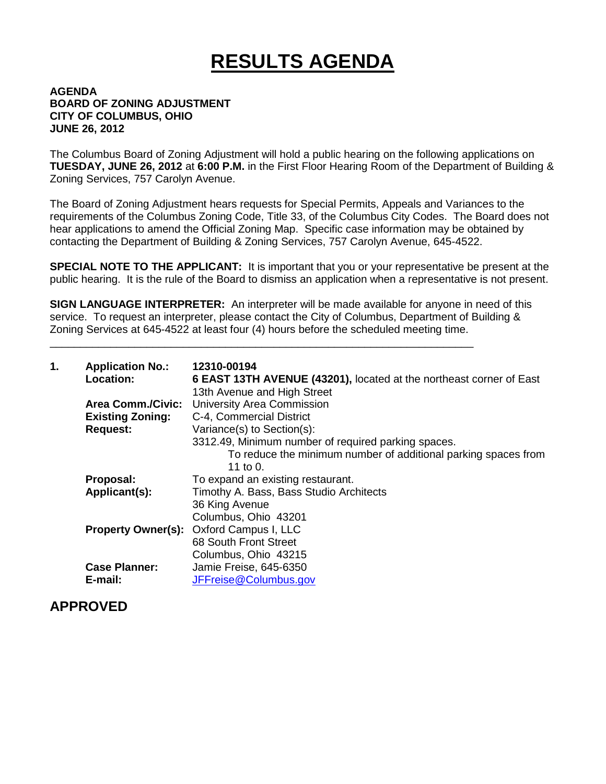# **RESULTS AGENDA**

#### **AGENDA BOARD OF ZONING ADJUSTMENT CITY OF COLUMBUS, OHIO JUNE 26, 2012**

The Columbus Board of Zoning Adjustment will hold a public hearing on the following applications on **TUESDAY, JUNE 26, 2012** at **6:00 P.M.** in the First Floor Hearing Room of the Department of Building & Zoning Services, 757 Carolyn Avenue.

The Board of Zoning Adjustment hears requests for Special Permits, Appeals and Variances to the requirements of the Columbus Zoning Code, Title 33, of the Columbus City Codes. The Board does not hear applications to amend the Official Zoning Map. Specific case information may be obtained by contacting the Department of Building & Zoning Services, 757 Carolyn Avenue, 645-4522.

**SPECIAL NOTE TO THE APPLICANT:** It is important that you or your representative be present at the public hearing. It is the rule of the Board to dismiss an application when a representative is not present.

**SIGN LANGUAGE INTERPRETER:** An interpreter will be made available for anyone in need of this service. To request an interpreter, please contact the City of Columbus, Department of Building & Zoning Services at 645-4522 at least four (4) hours before the scheduled meeting time.

\_\_\_\_\_\_\_\_\_\_\_\_\_\_\_\_\_\_\_\_\_\_\_\_\_\_\_\_\_\_\_\_\_\_\_\_\_\_\_\_\_\_\_\_\_\_\_\_\_\_\_\_\_\_\_\_\_\_\_\_\_\_\_\_\_\_\_\_\_\_

| 1. | <b>Application No.:</b><br><b>Location:</b> | 12310-00194<br>6 EAST 13TH AVENUE (43201), located at the northeast corner of East<br>13th Avenue and High Street |
|----|---------------------------------------------|-------------------------------------------------------------------------------------------------------------------|
|    | <b>Area Comm./Civic:</b>                    | <b>University Area Commission</b>                                                                                 |
|    | <b>Existing Zoning:</b>                     | C-4, Commercial District                                                                                          |
|    | <b>Request:</b>                             | Variance(s) to Section(s):                                                                                        |
|    |                                             | 3312.49, Minimum number of required parking spaces.                                                               |
|    |                                             | To reduce the minimum number of additional parking spaces from<br>11 to 0.                                        |
|    | Proposal:                                   | To expand an existing restaurant.                                                                                 |
|    | Applicant(s):                               | Timothy A. Bass, Bass Studio Architects                                                                           |
|    |                                             | 36 King Avenue                                                                                                    |
|    |                                             | Columbus, Ohio 43201                                                                                              |
|    |                                             | <b>Property Owner(s): Oxford Campus I, LLC</b>                                                                    |
|    |                                             | 68 South Front Street                                                                                             |
|    |                                             | Columbus, Ohio 43215                                                                                              |
|    | <b>Case Planner:</b>                        | Jamie Freise, 645-6350                                                                                            |
|    | E-mail:                                     | JFFreise@Columbus.gov                                                                                             |

#### **APPROVED**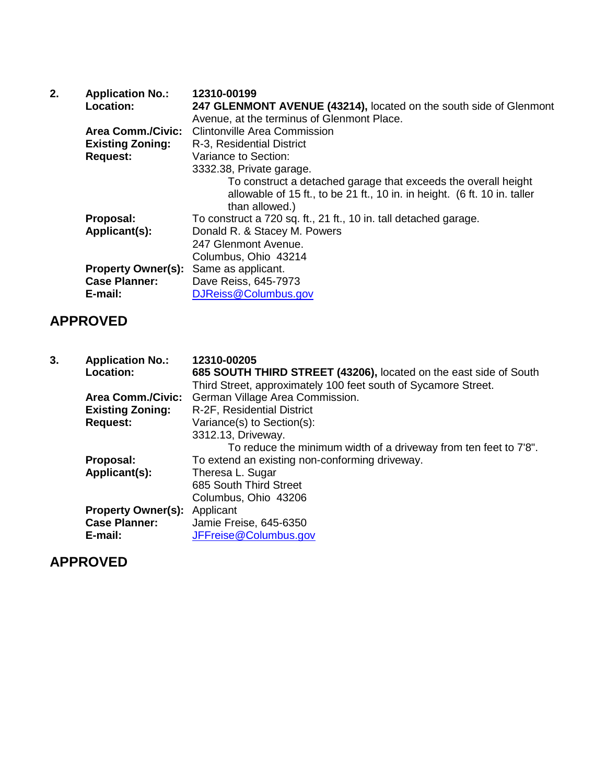| 2. | <b>Application No.:</b>   | 12310-00199                                                               |
|----|---------------------------|---------------------------------------------------------------------------|
|    | <b>Location:</b>          | 247 GLENMONT AVENUE (43214), located on the south side of Glenmont        |
|    |                           | Avenue, at the terminus of Glenmont Place.                                |
|    | <b>Area Comm./Civic:</b>  | <b>Clintonville Area Commission</b>                                       |
|    | <b>Existing Zoning:</b>   | R-3, Residential District                                                 |
|    | <b>Request:</b>           | Variance to Section:                                                      |
|    |                           | 3332.38, Private garage.                                                  |
|    |                           | To construct a detached garage that exceeds the overall height            |
|    |                           | allowable of 15 ft., to be 21 ft., 10 in. in height. (6 ft. 10 in. taller |
|    |                           | than allowed.)                                                            |
|    | Proposal:                 | To construct a 720 sq. ft., 21 ft., 10 in. tall detached garage.          |
|    | Applicant(s):             | Donald R. & Stacey M. Powers                                              |
|    |                           | 247 Glenmont Avenue.                                                      |
|    |                           | Columbus, Ohio 43214                                                      |
|    | <b>Property Owner(s):</b> | Same as applicant.                                                        |
|    | <b>Case Planner:</b>      | Dave Reiss, 645-7973                                                      |
|    | E-mail:                   | DJReiss@Columbus.gov                                                      |

### **APPROVED**

| 3. | <b>Application No.:</b>             | 12310-00205                                                       |
|----|-------------------------------------|-------------------------------------------------------------------|
|    | Location:                           | 685 SOUTH THIRD STREET (43206), located on the east side of South |
|    |                                     | Third Street, approximately 100 feet south of Sycamore Street.    |
|    | <b>Area Comm./Civic:</b>            | German Village Area Commission.                                   |
|    | <b>Existing Zoning:</b>             | R-2F, Residential District                                        |
|    | <b>Request:</b>                     | Variance(s) to Section(s):                                        |
|    |                                     | 3312.13, Driveway.                                                |
|    |                                     | To reduce the minimum width of a driveway from ten feet to 7'8".  |
|    | Proposal:                           | To extend an existing non-conforming driveway.                    |
|    | Applicant(s):                       | Theresa L. Sugar                                                  |
|    |                                     | 685 South Third Street                                            |
|    |                                     | Columbus, Ohio 43206                                              |
|    | <b>Property Owner(s):</b> Applicant |                                                                   |
|    | <b>Case Planner:</b>                | Jamie Freise, 645-6350                                            |
|    | E-mail:                             | JFFreise@Columbus.gov                                             |

# **APPROVED**